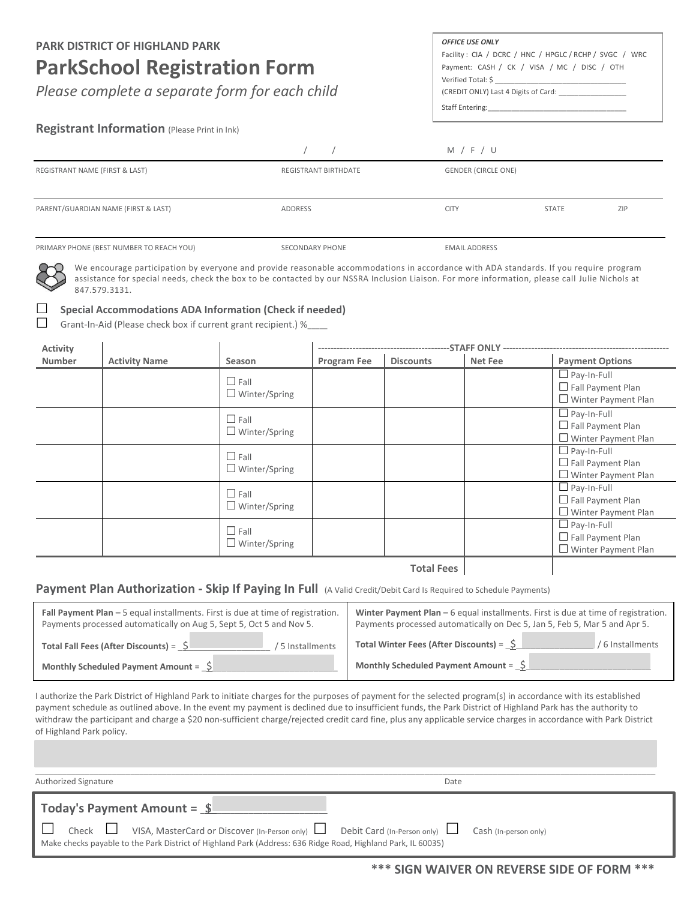#### **PARK DISTRICT OF HIGHLAND PARK**

# **ParkSchool Registration Form**

*Please complete a separate form for each child*

#### *OFFICE USE ONLY*

Facility : CIA / DCRC / HNC / HPGLC / RCHP / SVGC / WRC Payment: CASH / CK / VISA / MC / DISC / OTH Verified Total: \$ (CREDIT ONLY) Last 4 Digits of Card: \_\_\_\_\_\_\_\_\_\_\_\_\_\_\_\_\_

Staff Entering:

### **Registrant Information** (Please Print in Ink)

|                                          |                             | M / F / U                  |              |     |
|------------------------------------------|-----------------------------|----------------------------|--------------|-----|
| REGISTRANT NAME (FIRST & LAST)           | <b>REGISTRANT BIRTHDATE</b> | <b>GENDER (CIRCLE ONE)</b> |              |     |
| PARENT/GUARDIAN NAME (FIRST & LAST)      | ADDRESS                     | <b>CITY</b>                | <b>STATE</b> | ZIP |
| PRIMARY PHONE (BEST NUMBER TO REACH YOU) | SECONDARY PHONE             | <b>EMAIL ADDRESS</b>       |              |     |

We encourage participation by everyone and provide reasonable accommodations in accordance with ADA standards. If you require program assistance for special needs, check the box to be contacted by our NSSRA Inclusion Liaison. For more information, please call Julie Nichols at 847.579.3131.

#### **Special Accommodations ADA Information (Check if needed)**

 $\ddot{\phantom{a}}$ 

Grant-In-Aid (Please check box if current grant recipient.) %\_

| <b>Activity</b> |                      |                                     |             |                   |         |                                                                              |
|-----------------|----------------------|-------------------------------------|-------------|-------------------|---------|------------------------------------------------------------------------------|
| Number          | <b>Activity Name</b> | Season                              | Program Fee | <b>Discounts</b>  | Net Fee | <b>Payment Options</b>                                                       |
|                 |                      | $\Box$ Fall<br>$\Box$ Winter/Spring |             |                   |         | $\Box$ Pay-In-Full<br>$\Box$ Fall Payment Plan<br>$\Box$ Winter Payment Plan |
|                 |                      | $\Box$ Fall<br>$\Box$ Winter/Spring |             |                   |         | $\Box$ Pay-In-Full<br>$\Box$ Fall Payment Plan<br>$\Box$ Winter Payment Plan |
|                 |                      | $\Box$ Fall<br>$\Box$ Winter/Spring |             |                   |         | $\Box$ Pay-In-Full<br>$\Box$ Fall Payment Plan<br>$\Box$ Winter Payment Plan |
|                 |                      | $\Box$ Fall<br>$\Box$ Winter/Spring |             |                   |         | $\Box$ Pay-In-Full<br>$\Box$ Fall Payment Plan<br>$\Box$ Winter Payment Plan |
|                 |                      | $\Box$ Fall<br>$\Box$ Winter/Spring |             |                   |         | $\Box$ Pay-In-Full<br>$\Box$ Fall Payment Plan<br>$\Box$ Winter Payment Plan |
|                 |                      |                                     |             | <b>Total Fees</b> |         |                                                                              |

**Total Fees** 

#### **Payment Plan Authorization - Skip If Paying In Full** (A Valid Credit/Debit Card Is Required to Schedule Payments)

| <b>Fall Payment Plan - 5 equal installments. First is due at time of registration.</b> | Winter Payment Plan – 6 equal installments. First is due at time of registration. |  |  |
|----------------------------------------------------------------------------------------|-----------------------------------------------------------------------------------|--|--|
| Payments processed automatically on Aug 5, Sept 5, Oct 5 and Nov 5.                    | Payments processed automatically on Dec 5, Jan 5, Feb 5, Mar 5 and Apr 5.         |  |  |
| Total Fall Fees (After Discounts) = $\frac{1}{2}$                                      | Total Winter Fees (After Discounts) = $\hat{S}$                                   |  |  |
| 5 Installments                                                                         | / 6 Installments                                                                  |  |  |
| Monthly Scheduled Payment Amount = $\Im$                                               | Monthly Scheduled Payment Amount = $\int$                                         |  |  |

I authorize the Park District of Highland Park to initiate charges for the purposes of payment for the selected program(s) in accordance with its established payment schedule as outlined above. In the event my payment is declined due to insufficient funds, the Park District of Highland Park has the authority to withdraw the participant and charge a \$20 non-sufficient charge/rejected credit card fine, plus any applicable service charges in accordance with Park District of Highland Park policy.

| Authorized Signature                                                                                                                                                                                                          | Date |
|-------------------------------------------------------------------------------------------------------------------------------------------------------------------------------------------------------------------------------|------|
| $\vert$ Today's Payment Amount = $\vert$                                                                                                                                                                                      |      |
| ■ Check ■ VISA, MasterCard or Discover (In-Person only) ■ Debit Card (In-Person only) ■ Cash (In-person only)<br>Make checks payable to the Park District of Highland Park (Address: 636 Ridge Road, Highland Park, IL 60035) |      |